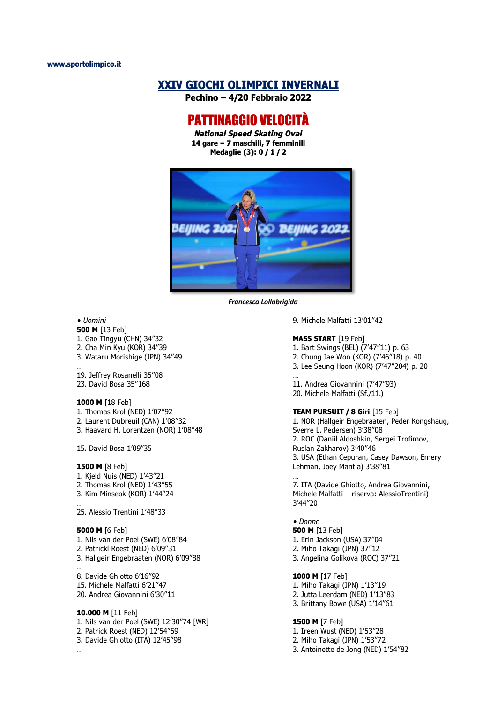# **XXIV GIOCHI OLIMPICI INVERNALI**

**Pechino – 4/20 Febbraio 2022**

# PATTINAGGIO VELOCITÀ

*National Speed Skating Oval* **14 gare – 7 maschili, 7 femminili Medaglie (3): 0 / 1 / 2**



*Francesca Lollobrigida*

#### *• Uomini*

**500 M** [13 Feb] 1. Gao Tingyu (CHN) 34"32 2. Cha Min Kyu (KOR) 34"39 3. Wataru Morishige (JPN) 34"49 …

19. Jeffrey Rosanelli 35"08 23. David Bosa 35"168

#### **1000 M** [18 Feb]

1. Thomas Krol (NED) 1'07"92

2. Laurent Dubreuil (CAN) 1'08"32

3. Haavard H. Lorentzen (NOR) 1'08"48

15. David Bosa 1'09"35

#### **1500 M** [8 Feb]

…

1. Kjeld Nuis (NED) 1'43"21 2. Thomas Krol (NED) 1'43"55 3. Kim Minseok (KOR) 1'44"24 …

25. Alessio Trentini 1'48"33

#### **5000 M** [6 Feb]

1. Nils van der Poel (SWE) 6'08"84 2. Patrickl Roest (NED) 6'09"31

3. Hallgeir Engebraaten (NOR) 6'09"88

… 8. Davide Ghiotto 6'16"92 15. Michele Malfatti 6'21"47 20. Andrea Giovannini 6'30"11

# **10.000 M** [11 Feb]

1. Nils van der Poel (SWE) 12'30"74 [WR] 2. Patrick Roest (NED) 12'54"59 3. Davide Ghiotto (ITA) 12'45"98 …

9. Michele Malfatti 13'01"42

# **MASS START** [19 Feb]

1. Bart Swings (BEL) (7'47"11) p. 63

2. Chung Jae Won (KOR) (7'46"18) p. 40 3. Lee Seung Hoon (KOR) (7'47"204) p. 20

…

11. Andrea Giovannini (7'47"93) 20. Michele Malfatti (Sf./11.)

### **TEAM PURSUIT / 8 Giri** [15 Feb]

1. NOR (Hallgeir Engebraaten, Peder Kongshaug, Sverre L. Pedersen) 3'38"08 2. ROC (Daniil Aldoshkin, Sergei Trofimov, Ruslan Zakharov) 3'40"46 3. USA (Ethan Cepuran, Casey Dawson, Emery Lehman, Joey Mantia) 3'38"81 …

7. ITA (Davide Ghiotto, Andrea Giovannini, Michele Malfatti – riserva: AlessioTrentini) 3'44"20

*• Donne* **500 M** [13 Feb] 1. Erin Jackson (USA) 37"04

- 2. Miho Takagi (JPN) 37"12
- 3. Angelina Golikova (ROC) 37"21

#### **1000 M** [17 Feb]

1. Miho Takagi (JPN) 1'13"19 2. Jutta Leerdam (NED) 1'13"83 3. Brittany Bowe (USA) 1'14"61

### **1500 M** [7 Feb]

1. Ireen Wust (NED) 1'53"28 2. Miho Takagi (JPN) 1'53"72 3. Antoinette de Jong (NED) 1'54"82